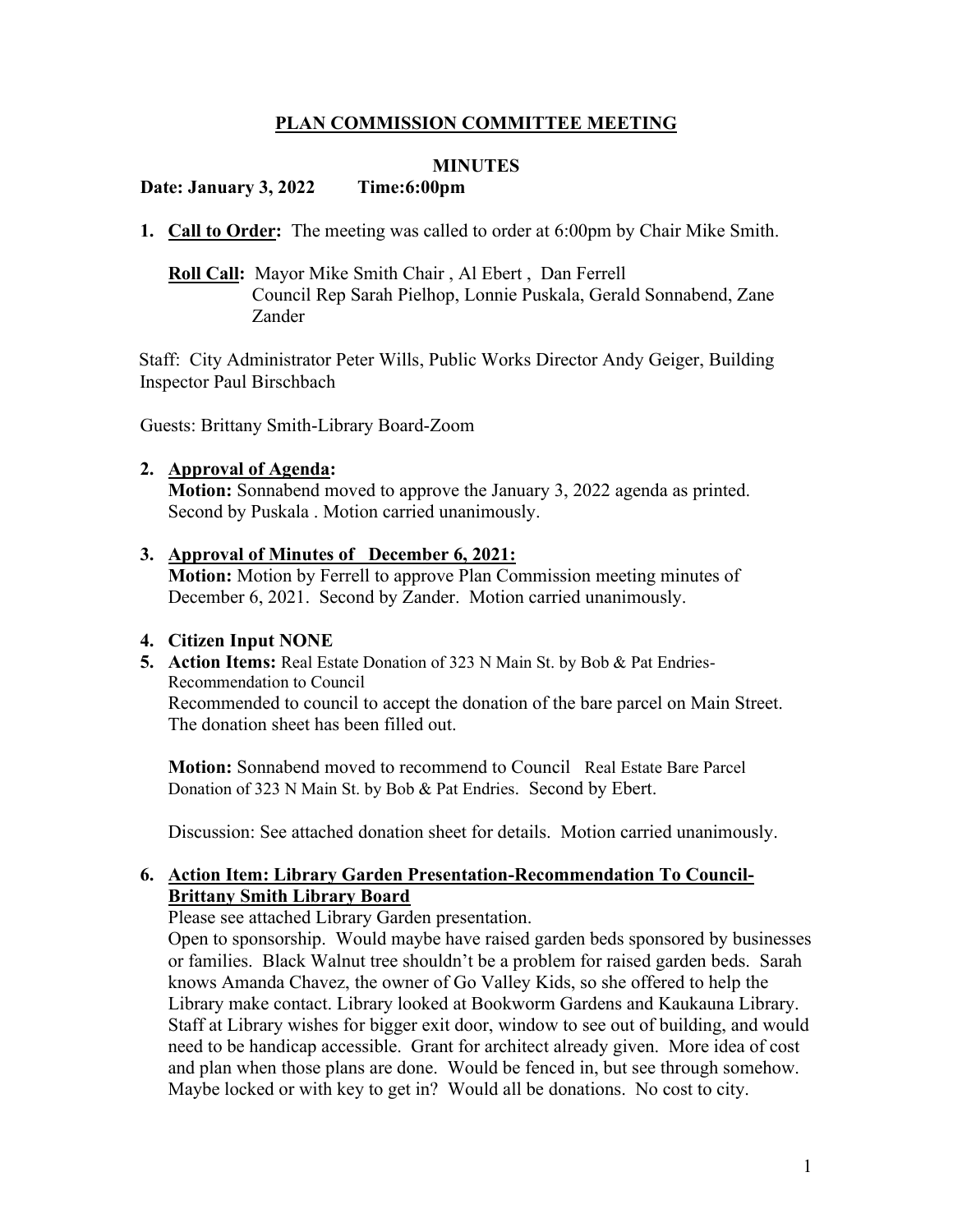# **PLAN COMMISSION COMMITTEE MEETING**

#### **MINUTES**

#### **Date: January 3, 2022 Time:6:00pm**

**1. Call to Order:** The meeting was called to order at 6:00pm by Chair Mike Smith.

# **Roll Call:** Mayor Mike Smith Chair , Al Ebert , Dan Ferrell Council Rep Sarah Pielhop, Lonnie Puskala, Gerald Sonnabend, Zane Zander

Staff: City Administrator Peter Wills, Public Works Director Andy Geiger, Building Inspector Paul Birschbach

Guests: Brittany Smith-Library Board-Zoom

#### **2. Approval of Agenda:**

**Motion:** Sonnabend moved to approve the January 3, 2022 agenda as printed. Second by Puskala . Motion carried unanimously.

#### **3. Approval of Minutes of \_December 6, 2021:**

**Motion:** Motion by Ferrell to approve Plan Commission meeting minutes of December 6, 2021. Second by Zander. Motion carried unanimously.

## **4. Citizen Input NONE**

**5. Action Items:** Real Estate Donation of 323 N Main St. by Bob & Pat Endries-Recommendation to Council Recommended to council to accept the donation of the bare parcel on Main Street. The donation sheet has been filled out.

**Motion:** Sonnabend moved to recommend to Council Real Estate Bare Parcel Donation of 323 N Main St. by Bob & Pat Endries. Second by Ebert.

Discussion: See attached donation sheet for details. Motion carried unanimously.

## **6. Action Item: Library Garden Presentation-Recommendation To Council-Brittany Smith Library Board**

Please see attached Library Garden presentation.

Open to sponsorship. Would maybe have raised garden beds sponsored by businesses or families. Black Walnut tree shouldn't be a problem for raised garden beds. Sarah knows Amanda Chavez, the owner of Go Valley Kids, so she offered to help the Library make contact. Library looked at Bookworm Gardens and Kaukauna Library. Staff at Library wishes for bigger exit door, window to see out of building, and would need to be handicap accessible. Grant for architect already given. More idea of cost and plan when those plans are done. Would be fenced in, but see through somehow. Maybe locked or with key to get in? Would all be donations. No cost to city.